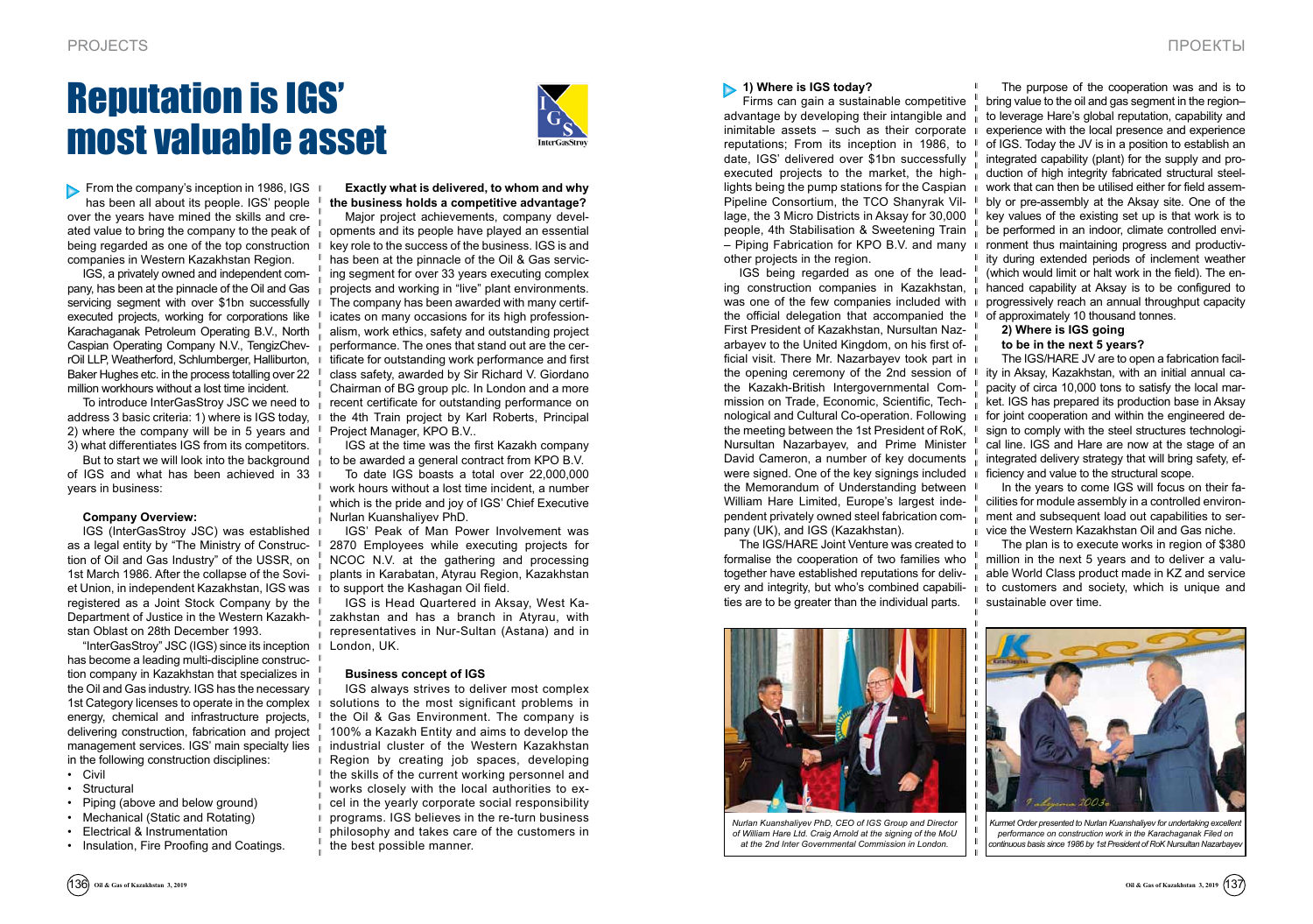From the company's inception in 1986, IGS  $\parallel$ has been all about its people. IGS' people over the years have mined the skills and crebeing regarded as one of the top construction  $\Box$ companies in Western Kazakhstan Region.

To introduce InterGasStroy JSC we need to  $\overline{\mathbb{I}}$ address 3 basic criteria: 1) where is IGS today, 2) where the company will be in 5 years and 3) what differentiates IGS from its competitors.

IGS, a privately owned and independent company, has been at the pinnacle of the Oil and Gas servicing segment with over \$1bn successfully executed projects, working for corporations like Karachaganak Petroleum Operating B.V., North Caspian Operating Company N.V., TengizChevrOil LLP, Weatherford, Schlumberger, Halliburton, Baker Hughes etc. in the process totalling over 22 million workhours without a lost time incident.

- • Civil
- • Structural • Piping (above and below ground)
- Mechanical (Static and Rotating)
- • Electrical & Instrumentation
- Insulation, Fire Proofing and Coatings.

But to start we will look into the background of IGS and what has been achieved in 33 years in business:

#### **Company Overview:**

IGS (InterGasStroy JSC) was established as a legal entity by "The Ministry of Construction of Oil and Gas Industry" of the USSR, on 1st March 1986. After the collapse of the Soviet Union, in independent Kazakhstan, IGS was registered as a Joint Stock Company by the Department of Justice in the Western Kazakhstan Oblast on 28th December 1993.

ated value to bring the company to the peak of  $\, \parallel \,$  opments and its people have played an essential Major project achievements, company develkey role to the success of the business. IGS is and has been at the pinnacle of the Oil & Gas servicing segment for over 33 years executing complex projects and working in "live" plant environments. The company has been awarded with many certificates on many occasions for its high professionalism, work ethics, safety and outstanding project performance. The ones that stand out are the certificate for outstanding work performance and first class safety, awarded by Sir Richard V. Giordano Chairman of BG group plc. In London and a more recent certificate for outstanding performance on the 4th Train project by Karl Roberts, Principal Project Manager, KPO B.V..

"InterGasStroy" JSC (IGS) since its inception has become a leading multi-discipline construction company in Kazakhstan that specializes in the Oil and Gas industry. IGS has the necessary 1st Category licenses to operate in the complex  $\Box$ energy, chemical and infrastructure projects, delivering construction, fabrication and project management services. IGS' main specialty lies in the following construction disciplines:

# Reputation is IGS' most valuable asset



**Exactly what is delivered, to whom and why the business holds a competitive advantage?** 

IGS at the time was the first Kazakh company to be awarded a general contract from KPO B.V.

To date IGS boasts a total over 22,000,000 work hours without a lost time incident, a number which is the pride and joy of IGS' Chief Executive Nurlan Kuanshaliyev PhD.

IGS' Peak of Man Power Involvement was 2870 Employees while executing projects for NCOC N.V. at the gathering and processing plants in Karabatan, Atyrau Region, Kazakhstan to support the Kashagan Oil field.

IGS is Head Quartered in Aksay, West Kazakhstan and has a branch in Atyrau, with representatives in Nur-Sultan (Astana) and in London, UK.

#### **Business concept of IGS**

IGS always strives to deliver most complex solutions to the most significant problems in the Oil & Gas Environment. The company is 100% a Kazakh Entity and aims to develop the industrial cluster of the Western Kazakhstan Region by creating job spaces, developing the skills of the current working personnel and works closely with the local authorities to excel in the yearly corporate social responsibility programs. IGS believes in the re-turn business philosophy and takes care of the customers in the best possible manner.

#### **1) Where is IGS today?**

Firms can gain a sustainable competitive advantage by developing their intangible and inimitable assets – such as their corporate reputations; From its inception in 1986, to date, IGS' delivered over \$1bn successfully executed projects to the market, the highlights being the pump stations for the Caspian Pipeline Consortium, the TCO Shanyrak Village, the 3 Micro Districts in Aksay for 30,000 people, 4th Stabilisation & Sweetening Train – Piping Fabrication for KPO B.V. and many other projects in the region.

IGS being regarded as one of the leading construction companies in Kazakhstan, was one of the few companies included with the official delegation that accompanied the First President of Kazakhstan, Nursultan Nazarbayev to the United Kingdom, on his first official visit. There Mr. Nazarbayev took part in the opening ceremony of the 2nd session of the Kazakh-British Intergovernmental Commission on Trade, Economic, Scientific, Technological and Cultural Co-operation. Following the meeting between the 1st President of RoK, Nursultan Nazarbayev, and Prime Minister David Cameron, a number of key documents were signed. One of the key signings included the Memorandum of Understanding between William Hare Limited, Europe's largest independent privately owned steel fabrication company (UK), and IGS (Kazakhstan).

The IGS/HARE Joint Venture was created to formalise the cooperation of two families who together have established reputations for delivery and integrity, but who's combined capabilities are to be greater than the individual parts.

The purpose of the cooperation was and is to bring value to the oil and gas segment in the region– to leverage Hare's global reputation, capability and experience with the local presence and experience of IGS. Today the JV is in a position to establish an integrated capability (plant) for the supply and production of high integrity fabricated structural steelwork that can then be utilised either for field assembly or pre-assembly at the Aksay site. One of the key values of the existing set up is that work is to be performed in an indoor, climate controlled environment thus maintaining progress and productivity during extended periods of inclement weather (which would limit or halt work in the field). The enhanced capability at Aksay is to be configured to progressively reach an annual throughput capacity of approximately 10 thousand tonnes.

### **2) Where is IGS going**

#### **to be in the next 5 years?**

The IGS/HARE JV are to open a fabrication facility in Aksay, Kazakhstan, with an initial annual capacity of circa 10,000 tons to satisfy the local market. IGS has prepared its production base in Aksay for joint cooperation and within the engineered design to comply with the steel structures technological line. IGS and Hare are now at the stage of an integrated delivery strategy that will bring safety, efficiency and value to the structural scope.

In the years to come IGS will focus on their facilities for module assembly in a controlled environment and subsequent load out capabilities to service the Western Kazakhstan Oil and Gas niche.

The plan is to execute works in region of \$380 million in the next 5 years and to deliver a valuable World Class product made in KZ and service to customers and society, which is unique and sustainable over time.



*Nurlan Kuanshaliyev PhD, CEO of IGS Group and Director of William Hare Ltd. Craig Arnold at the signing of the MoU at the 2nd Inter Governmental Commission in London.*



*Kurmet Order presented to Nurlan Kuanshaliyev for undertaking excellent performance on construction work in the Karachaganak Filed on continuous basis since 1986 by 1st President of RoK Nursultan Nazarbayev*